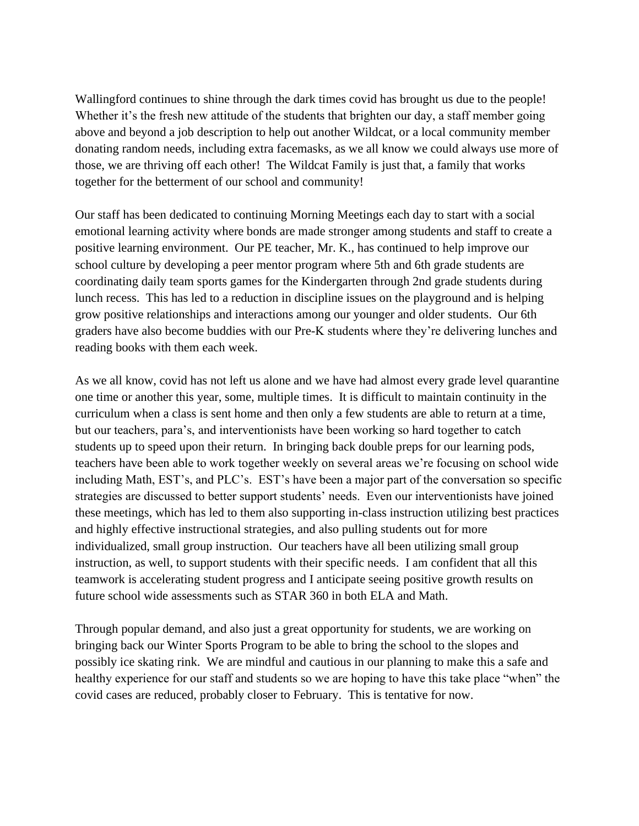Wallingford continues to shine through the dark times covid has brought us due to the people! Whether it's the fresh new attitude of the students that brighten our day, a staff member going above and beyond a job description to help out another Wildcat, or a local community member donating random needs, including extra facemasks, as we all know we could always use more of those, we are thriving off each other! The Wildcat Family is just that, a family that works together for the betterment of our school and community!

Our staff has been dedicated to continuing Morning Meetings each day to start with a social emotional learning activity where bonds are made stronger among students and staff to create a positive learning environment. Our PE teacher, Mr. K., has continued to help improve our school culture by developing a peer mentor program where 5th and 6th grade students are coordinating daily team sports games for the Kindergarten through 2nd grade students during lunch recess. This has led to a reduction in discipline issues on the playground and is helping grow positive relationships and interactions among our younger and older students. Our 6th graders have also become buddies with our Pre-K students where they're delivering lunches and reading books with them each week.

As we all know, covid has not left us alone and we have had almost every grade level quarantine one time or another this year, some, multiple times. It is difficult to maintain continuity in the curriculum when a class is sent home and then only a few students are able to return at a time, but our teachers, para's, and interventionists have been working so hard together to catch students up to speed upon their return. In bringing back double preps for our learning pods, teachers have been able to work together weekly on several areas we're focusing on school wide including Math, EST's, and PLC's. EST's have been a major part of the conversation so specific strategies are discussed to better support students' needs. Even our interventionists have joined these meetings, which has led to them also supporting in-class instruction utilizing best practices and highly effective instructional strategies, and also pulling students out for more individualized, small group instruction. Our teachers have all been utilizing small group instruction, as well, to support students with their specific needs. I am confident that all this teamwork is accelerating student progress and I anticipate seeing positive growth results on future school wide assessments such as STAR 360 in both ELA and Math.

Through popular demand, and also just a great opportunity for students, we are working on bringing back our Winter Sports Program to be able to bring the school to the slopes and possibly ice skating rink. We are mindful and cautious in our planning to make this a safe and healthy experience for our staff and students so we are hoping to have this take place "when" the covid cases are reduced, probably closer to February. This is tentative for now.